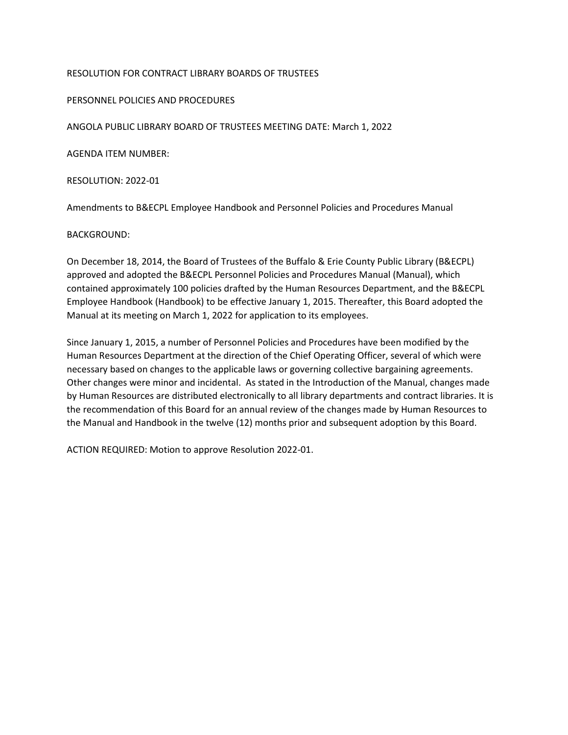## RESOLUTION FOR CONTRACT LIBRARY BOARDS OF TRUSTEES

## PERSONNEL POLICIES AND PROCEDURES

ANGOLA PUBLIC LIBRARY BOARD OF TRUSTEES MEETING DATE: March 1, 2022

AGENDA ITEM NUMBER:

RESOLUTION: 2022-01

Amendments to B&ECPL Employee Handbook and Personnel Policies and Procedures Manual

## BACKGROUND:

On December 18, 2014, the Board of Trustees of the Buffalo & Erie County Public Library (B&ECPL) approved and adopted the B&ECPL Personnel Policies and Procedures Manual (Manual), which contained approximately 100 policies drafted by the Human Resources Department, and the B&ECPL Employee Handbook (Handbook) to be effective January 1, 2015. Thereafter, this Board adopted the Manual at its meeting on March 1, 2022 for application to its employees.

Since January 1, 2015, a number of Personnel Policies and Procedures have been modified by the Human Resources Department at the direction of the Chief Operating Officer, several of which were necessary based on changes to the applicable laws or governing collective bargaining agreements. Other changes were minor and incidental. As stated in the Introduction of the Manual, changes made by Human Resources are distributed electronically to all library departments and contract libraries. It is the recommendation of this Board for an annual review of the changes made by Human Resources to the Manual and Handbook in the twelve (12) months prior and subsequent adoption by this Board.

ACTION REQUIRED: Motion to approve Resolution 2022-01.